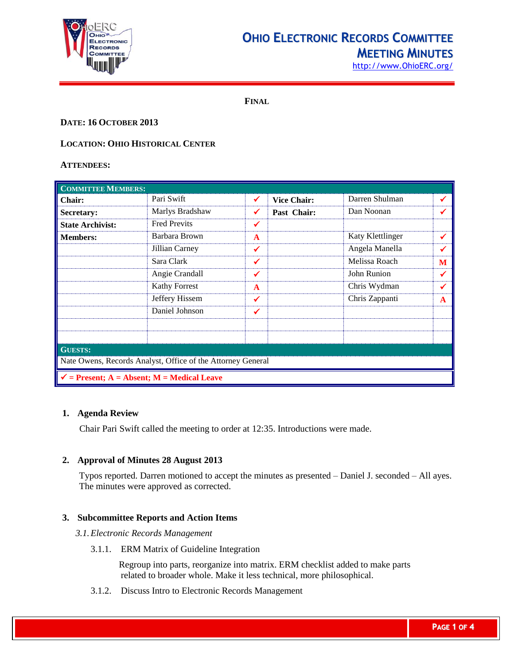

# **OHIO ELECTRONIC RECORDS COMMITTEE**

**MEETING MINUTES** [http://www.OhioERC.org/](http://www.ohioerc.org/)

**FINAL**

## **DATE: 16 OCTOBER 2013**

## **LOCATION: OHIO HISTORICAL CENTER**

### **ATTENDEES:**

| <b>COMMITTEE MEMBERS:</b>                                   |                     |              |                    |                  |   |  |
|-------------------------------------------------------------|---------------------|--------------|--------------------|------------------|---|--|
| <b>Chair:</b>                                               | Pari Swift          | $\sqrt{2}$   | <b>Vice Chair:</b> | Darren Shulman   | ✔ |  |
| Secretary:                                                  | Marlys Bradshaw     | ✔            | Past Chair:        | Dan Noonan       |   |  |
| <b>State Archivist:</b>                                     | <b>Fred Previts</b> | ✓            |                    |                  |   |  |
| <b>Members:</b>                                             | Barbara Brown       | $\mathbf{A}$ |                    | Katy Klettlinger | ✔ |  |
|                                                             | Jillian Carney      | ✔            |                    | Angela Manella   | ✔ |  |
|                                                             | Sara Clark          | ✔            |                    | Melissa Roach    | M |  |
|                                                             | Angie Crandall      | ✔            |                    | John Runion      | ✔ |  |
|                                                             | Kathy Forrest       | $\mathbf{A}$ |                    | Chris Wydman     | ✔ |  |
|                                                             | Jeffery Hissem      | ✔            |                    | Chris Zappanti   | A |  |
|                                                             | Daniel Johnson      | ✔            |                    |                  |   |  |
|                                                             |                     |              |                    |                  |   |  |
|                                                             |                     |              |                    |                  |   |  |
| <b>GUESTS:</b>                                              |                     |              |                    |                  |   |  |
| Nate Owens, Records Analyst, Office of the Attorney General |                     |              |                    |                  |   |  |
| $\checkmark$ = Present; A = Absent; M = Medical Leave       |                     |              |                    |                  |   |  |

## **1. Agenda Review**

Chair Pari Swift called the meeting to order at 12:35. Introductions were made.

## **2. Approval of Minutes 28 August 2013**

Typos reported. Darren motioned to accept the minutes as presented – Daniel J. seconded – All ayes. The minutes were approved as corrected.

## **3. Subcommittee Reports and Action Items**

#### *3.1.Electronic Records Management*

3.1.1. ERM Matrix of Guideline Integration

Regroup into parts, reorganize into matrix. ERM checklist added to make parts related to broader whole. Make it less technical, more philosophical.

3.1.2. Discuss Intro to Electronic Records Management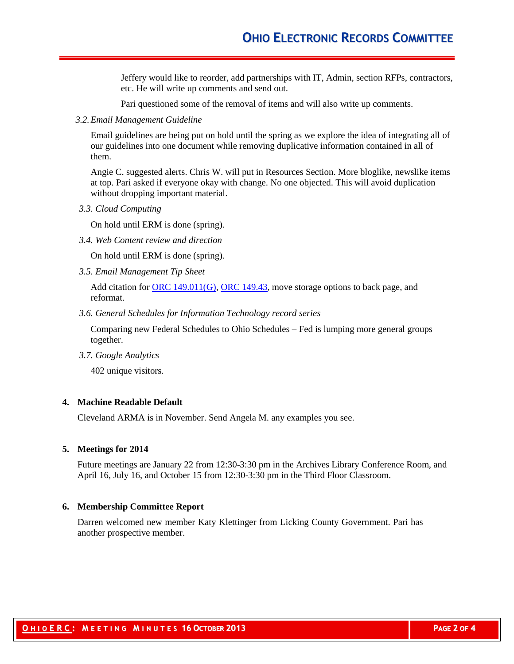Jeffery would like to reorder, add partnerships with IT, Admin, section RFPs, contractors, etc. He will write up comments and send out.

Pari questioned some of the removal of items and will also write up comments.

*3.2.Email Management Guideline*

Email guidelines are being put on hold until the spring as we explore the idea of integrating all of our guidelines into one document while removing duplicative information contained in all of them.

Angie C. suggested alerts. Chris W. will put in Resources Section. More bloglike, newslike items at top. Pari asked if everyone okay with change. No one objected. This will avoid duplication without dropping important material.

*3.3. Cloud Computing*

On hold until ERM is done (spring).

*3.4. Web Content review and direction*

On hold until ERM is done (spring).

*3.5. Email Management Tip Sheet*

Add citation for  $\overline{ORC}$  149.011(G), [ORC 149.43,](http://codes.ohio.gov/orc/149.43) move storage options to back page, and reformat.

*3.6. General Schedules for Information Technology record series*

Comparing new Federal Schedules to Ohio Schedules – Fed is lumping more general groups together.

*3.7. Google Analytics*

402 unique visitors.

#### **4. Machine Readable Default**

Cleveland ARMA is in November. Send Angela M. any examples you see.

#### **5. Meetings for 2014**

Future meetings are January 22 from 12:30-3:30 pm in the Archives Library Conference Room, and April 16, July 16, and October 15 from 12:30-3:30 pm in the Third Floor Classroom.

#### **6. Membership Committee Report**

Darren welcomed new member Katy Klettinger from Licking County Government. Pari has another prospective member.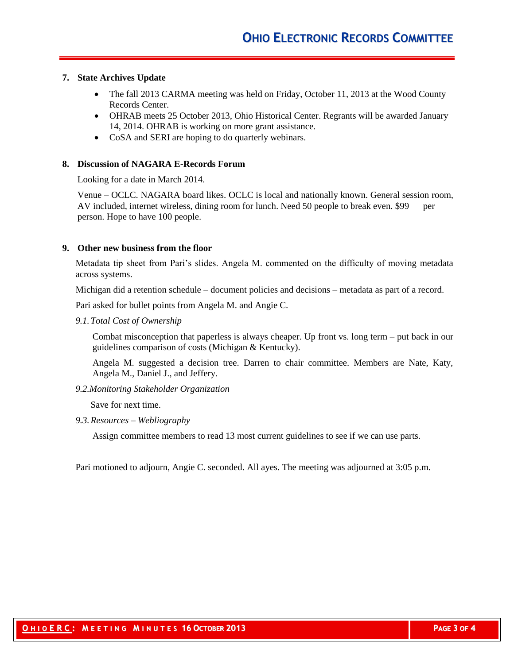## **7. State Archives Update**

- The fall 2013 CARMA meeting was held on Friday, October 11, 2013 at the Wood County Records Center.
- OHRAB meets 25 October 2013, Ohio Historical Center. Regrants will be awarded January 14, 2014. OHRAB is working on more grant assistance.
- CoSA and SERI are hoping to do quarterly webinars.

#### **8. Discussion of NAGARA E-Records Forum**

Looking for a date in March 2014.

Venue – OCLC. NAGARA board likes. OCLC is local and nationally known. General session room, AV included, internet wireless, dining room for lunch. Need 50 people to break even. \$99 per person. Hope to have 100 people.

#### **9. Other new business from the floor**

Metadata tip sheet from Pari's slides. Angela M. commented on the difficulty of moving metadata across systems.

Michigan did a retention schedule – document policies and decisions – metadata as part of a record.

Pari asked for bullet points from Angela M. and Angie C.

*9.1.Total Cost of Ownership*

Combat misconception that paperless is always cheaper. Up front vs. long term – put back in our guidelines comparison of costs (Michigan & Kentucky).

Angela M. suggested a decision tree. Darren to chair committee. Members are Nate, Katy, Angela M., Daniel J., and Jeffery.

*9.2.Monitoring Stakeholder Organization*

Save for next time.

*9.3.Resources – Webliography*

Assign committee members to read 13 most current guidelines to see if we can use parts.

Pari motioned to adjourn, Angie C. seconded. All ayes. The meeting was adjourned at 3:05 p.m.